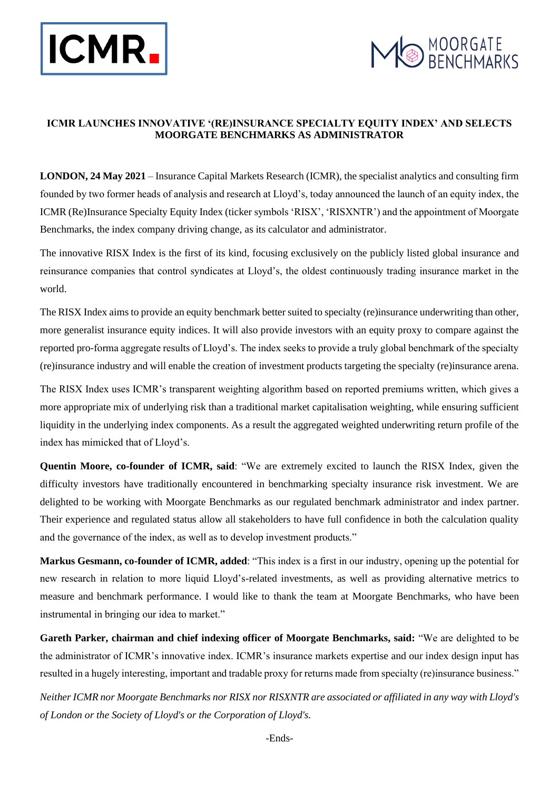



# **ICMR LAUNCHES INNOVATIVE '(RE)INSURANCE SPECIALTY EQUITY INDEX' AND SELECTS MOORGATE BENCHMARKS AS ADMINISTRATOR**

**LONDON, 24 May 2021** – Insurance Capital Markets Research (ICMR), the specialist analytics and consulting firm founded by two former heads of analysis and research at Lloyd's, today announced the launch of an equity index, the ICMR (Re)Insurance Specialty Equity Index (ticker symbols 'RISX', 'RISXNTR') and the appointment of Moorgate Benchmarks, the index company driving change, as its calculator and administrator.

The innovative RISX Index is the first of its kind, focusing exclusively on the publicly listed global insurance and reinsurance companies that control syndicates at Lloyd's, the oldest continuously trading insurance market in the world.

The RISX Index aims to provide an equity benchmark better suited to specialty (re)insurance underwriting than other, more generalist insurance equity indices. It will also provide investors with an equity proxy to compare against the reported pro-forma aggregate results of Lloyd's. The index seeks to provide a truly global benchmark of the specialty (re)insurance industry and will enable the creation of investment products targeting the specialty (re)insurance arena.

The RISX Index uses ICMR's transparent weighting algorithm based on reported premiums written, which gives a more appropriate mix of underlying risk than a traditional market capitalisation weighting, while ensuring sufficient liquidity in the underlying index components. As a result the aggregated weighted underwriting return profile of the index has mimicked that of Lloyd's.

**Quentin Moore, co-founder of ICMR, said**: "We are extremely excited to launch the RISX Index, given the difficulty investors have traditionally encountered in benchmarking specialty insurance risk investment. We are delighted to be working with Moorgate Benchmarks as our regulated benchmark administrator and index partner. Their experience and regulated status allow all stakeholders to have full confidence in both the calculation quality and the governance of the index, as well as to develop investment products."

**Markus Gesmann, co-founder of ICMR, added**: "This index is a first in our industry, opening up the potential for new research in relation to more liquid Lloyd's-related investments, as well as providing alternative metrics to measure and benchmark performance. I would like to thank the team at Moorgate Benchmarks, who have been instrumental in bringing our idea to market."

**Gareth Parker, chairman and chief indexing officer of Moorgate Benchmarks, said:** "We are delighted to be the administrator of ICMR's innovative index. ICMR's insurance markets expertise and our index design input has resulted in a hugely interesting, important and tradable proxy for returns made from specialty (re)insurance business."

*Neither ICMR nor Moorgate Benchmarks nor RISX nor RISXNTR are associated or affiliated in any way with Lloyd's of London or the Society of Lloyd's or the Corporation of Lloyd's.*